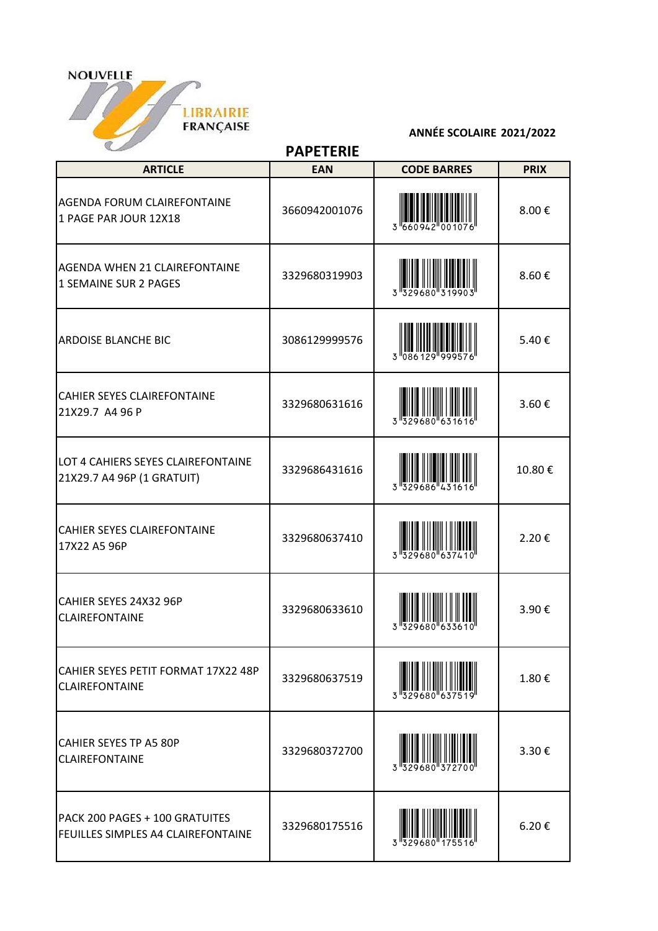

## **ANNÉE SCOLAIRE 2021/2022**

**PAPETERIE**

| <b>ARTICLE</b>                                                       | <b>EAN</b>    | <b>CODE BARRES</b> | <b>PRIX</b> |
|----------------------------------------------------------------------|---------------|--------------------|-------------|
| AGENDA FORUM CLAIREFONTAINE<br>1 PAGE PAR JOUR 12X18                 | 3660942001076 |                    | 8.00€       |
| <b>AGENDA WHEN 21 CLAIREFONTAINE</b><br>1 SEMAINE SUR 2 PAGES        | 3329680319903 |                    | 8.60€       |
| <b>ARDOISE BLANCHE BIC</b>                                           | 3086129999576 |                    | 5.40€       |
| <b>CAHIER SEYES CLAIREFONTAINE</b><br>21X29.7 A4 96 P                | 3329680631616 | 3 329680 6         | 3.60€       |
| LOT 4 CAHIERS SEYES CLAIREFONTAINE<br>21X29.7 A4 96P (1 GRATUIT)     | 3329686431616 |                    | 10.80€      |
| <b>CAHIER SEYES CLAIREFONTAINE</b><br>17X22 A5 96P                   | 3329680637410 |                    | 2.20€       |
| CAHIER SEYES 24X32 96P<br><b>CLAIREFONTAINE</b>                      | 3329680633610 |                    | 3.90€       |
| CAHIER SEYES PETIT FORMAT 17X22 48P<br><b>CLAIREFONTAINE</b>         | 3329680637519 |                    | 1.80€       |
| <b>CAHIER SEYES TP A5 80P</b><br><b>CLAIREFONTAINE</b>               | 3329680372700 |                    | 3.30€       |
| PACK 200 PAGES + 100 GRATUITES<br>FEUILLES SIMPLES A4 CLAIREFONTAINE | 3329680175516 |                    | 6.20€       |